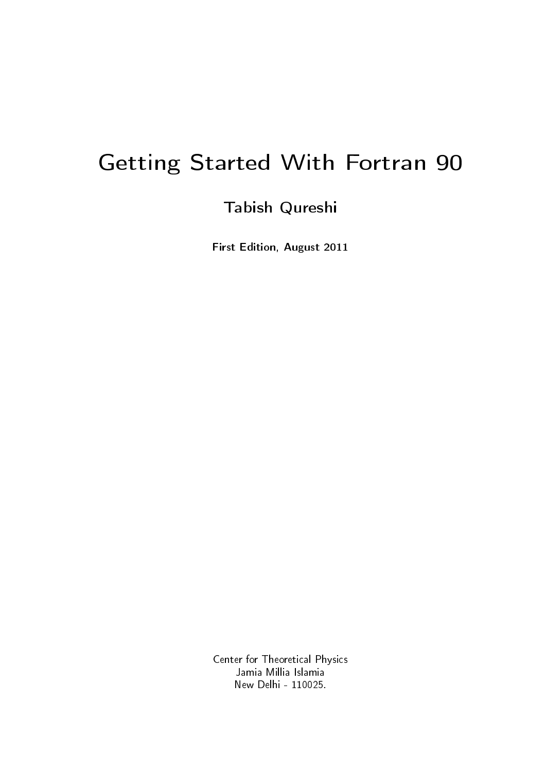# Getting Started With Fortran 90

## Tabish Qureshi

First Edition, August 2011

Center for Theoretical Physics Jamia Millia Islamia New Delhi - 110025.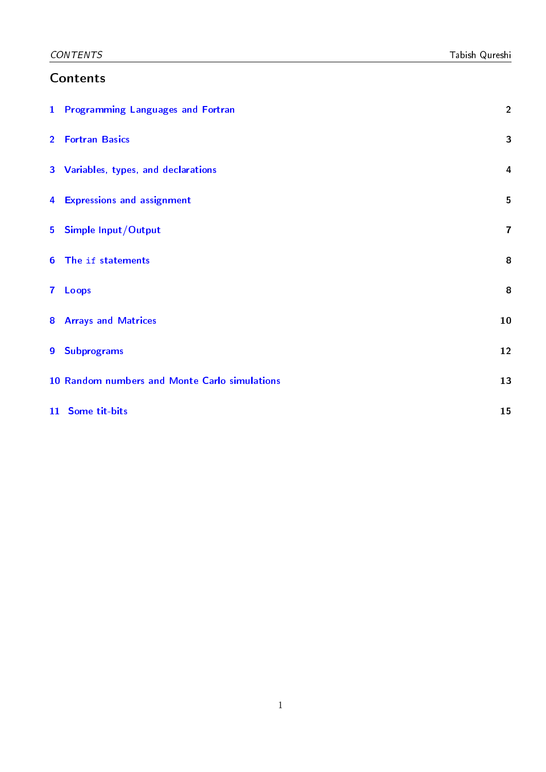## Contents

|              | 1 Programming Languages and Fortran           | $\overline{2}$ |
|--------------|-----------------------------------------------|----------------|
|              | 2 Fortran Basics                              | 3              |
|              | 3 Variables, types, and declarations          | $\overline{a}$ |
|              | 4 Expressions and assignment                  | 5              |
|              | 5 Simple Input/Output                         | $\overline{7}$ |
|              | 6 The if statements                           | 8              |
| $\mathbf{7}$ | Loops                                         | 8              |
|              | <b>8 Arrays and Matrices</b>                  | 10             |
|              | 9 Subprograms                                 | 12             |
|              | 10 Random numbers and Monte Carlo simulations | 13             |
|              | 11 Some tit-bits                              | 15             |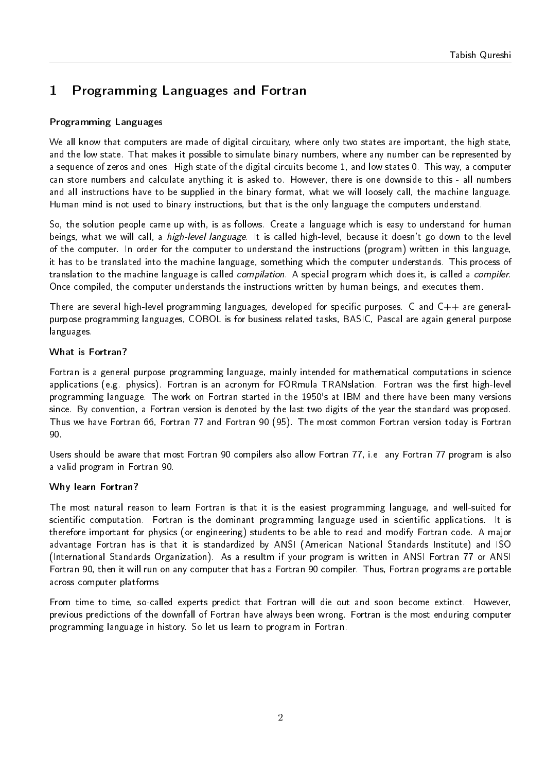## <span id="page-2-0"></span>1 Programming Languages and Fortran

## Programming Languages

We all know that computers are made of digital circuitary, where only two states are important, the high state, and the low state. That makes it possible to simulate binary numbers, where any number can be represented by a sequence of zeros and ones. High state of the digital circuits become 1, and low states 0. This way, a computer can store numbers and calculate anything it is asked to. However, there is one downside to this - all numbers and all instructions have to be supplied in the binary format, what we will loosely call, the machine language. Human mind is not used to binary instructions, but that is the only language the computers understand.

So, the solution people came up with, is as follows. Create a language which is easy to understand for human beings, what we will call, a high-level language. It is called high-level, because it doesn't go down to the level of the computer. In order for the computer to understand the instructions (program) written in this language, it has to be translated into the machine language, something which the computer understands. This process of translation to the machine language is called compilation. A special program which does it, is called a compiler. Once compiled, the computer understands the instructions written by human beings, and executes them.

There are several high-level programming languages, developed for specific purposes. C and  $C++$  are generalpurpose programming languages, COBOL is for business related tasks, BASIC, Pascal are again general purpose languages.

## What is Fortran?

Fortran is a general purpose programming language, mainly intended for mathematical computations in science applications (e.g. physics). Fortran is an acronym for FORmula TRANslation. Fortran was the first high-level programming language. The work on Fortran started in the 1950's at IBM and there have been many versions since. By convention, a Fortran version is denoted by the last two digits of the year the standard was proposed. Thus we have Fortran 66, Fortran 77 and Fortran 90 (95). The most common Fortran version today is Fortran 90.

Users should be aware that most Fortran 90 compilers also allow Fortran 77, i.e. any Fortran 77 program is also a valid program in Fortran 90.

## Why learn Fortran?

The most natural reason to learn Fortran is that it is the easiest programming language, and well-suited for scientific computation. Fortran is the dominant programming language used in scientific applications. It is therefore important for physics (or engineering) students to be able to read and modify Fortran code. A major advantage Fortran has is that it is standardized by ANSI (American National Standards Institute) and ISO (International Standards Organization). As a resultm if your program is written in ANSI Fortran 77 or ANSI Fortran 90, then it will run on any computer that has a Fortran 90 compiler. Thus, Fortran programs are portable across computer platforms

From time to time, so-called experts predict that Fortran will die out and soon become extinct. However, previous predictions of the downfall of Fortran have always been wrong. Fortran is the most enduring computer programming language in history. So let us learn to program in Fortran.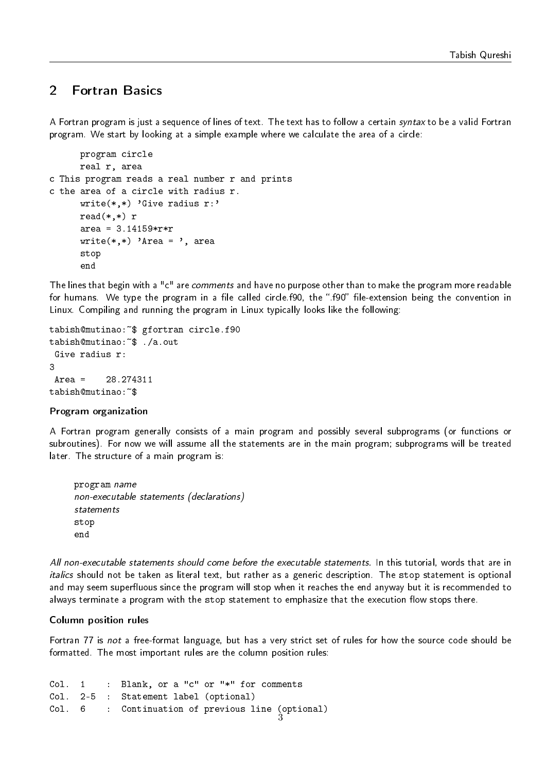## <span id="page-3-0"></span>2 Fortran Basics

A Fortran program is just a sequence of lines of text. The text has to follow a certain syntax to be a valid Fortran program. We start by looking at a simple example where we calculate the area of a circle:

```
program circle
      real r, area
c This program reads a real number r and prints
c the area of a circle with radius r.
      write(*,*) 'Give radius r:'
      read(*,*) r
      area = 3.14159*rr*rwrite(*,*) 'Area = ', area
      stop
      end
```
The lines that begin with a "c" are *comments* and have no purpose other than to make the program more readable for humans. We type the program in a file called circle.f90, the ".f90" file-extension being the convention in Linux. Compiling and running the program in Linux typically looks like the following:

```
tabish@mutinao:~$ gfortran circle.f90
tabish@mutinao:~$ ./a.out
Give radius r:
\mathbf{z}Area = 28.274311tabish@mutinao:~$
```
## Program organization

A Fortran program generally consists of a main program and possibly several subprograms (or functions or subroutines). For now we will assume all the statements are in the main program; subprograms will be treated later. The structure of a main program is:

```
program name
non-executable statements (declarations)
statements
stop
end
```
All non-executable statements should come before the executable statements. In this tutorial, words that are in italics should not be taken as literal text, but rather as a generic description. The stop statement is optional and may seem superfluous since the program will stop when it reaches the end anyway but it is recommended to always terminate a program with the stop statement to emphasize that the execution flow stops there.

#### Column position rules

Fortran 77 is not a free-format language, but has a very strict set of rules for how the source code should be formatted. The most important rules are the column position rules:

```
Col. 1 : Blank, or a "c" or "*" for comments
Col. 2-5 : Statement label (optional)
Col. 6 : Continuation of previous line (optional)<br>3
```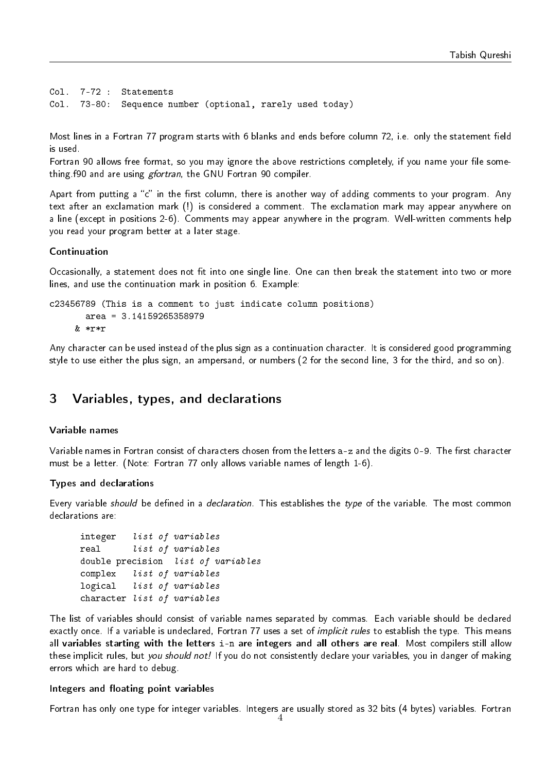```
Col. 7-72 : Statements
Col. 73-80: Sequence number (optional, rarely used today)
```
Most lines in a Fortran 77 program starts with 6 blanks and ends before column 72, i.e. only the statement field is used.

Fortran 90 allows free format, so you may ignore the above restrictions completely, if you name your file something.f90 and are using gfortran, the GNU Fortran 90 compiler.

Apart from putting a "c" in the first column, there is another way of adding comments to your program. Any text after an exclamation mark (!) is considered a comment. The exclamation mark may appear anywhere on a line (except in positions 2-6). Comments may appear anywhere in the program. Well-written comments help you read your program better at a later stage.

### Continuation

Occasionally, a statement does not fit into one single line. One can then break the statement into two or more lines, and use the continuation mark in position 6. Example:

```
c23456789 (This is a comment to just indicate column positions)
       area = 3.14159265358979
     & *r*r
```
Any character can be used instead of the plus sign as a continuation character. It is considered good programming style to use either the plus sign, an ampersand, or numbers (2 for the second line, 3 for the third, and so on).

## <span id="page-4-0"></span>3 Variables, types, and declarations

#### Variable names

Variable names in Fortran consist of characters chosen from the letters a-z and the digits 0-9. The first character must be a letter. (Note: Fortran 77 only allows variable names of length 1-6).

#### Types and declarations

Every variable *should* be defined in a *declaration*. This establishes the type of the variable. The most common declarations are:

```
integer list of variables
real list of variables
double precision list of variables
complex list of variables
logical list of variables
character list of variables
```
The list of variables should consist of variable names separated by commas. Each variable should be declared exactly once. If a variable is undeclared, Fortran 77 uses a set of *implicit rules* to establish the type. This means all variables starting with the letters i-n are integers and all others are real. Most compilers still allow these implicit rules, but you should not! If you do not consistently declare your variables, you in danger of making errors which are hard to debug.

#### Integers and floating point variables

Fortran has only one type for integer variables. Integers are usually stored as 32 bits (4 bytes) variables. Fortran 4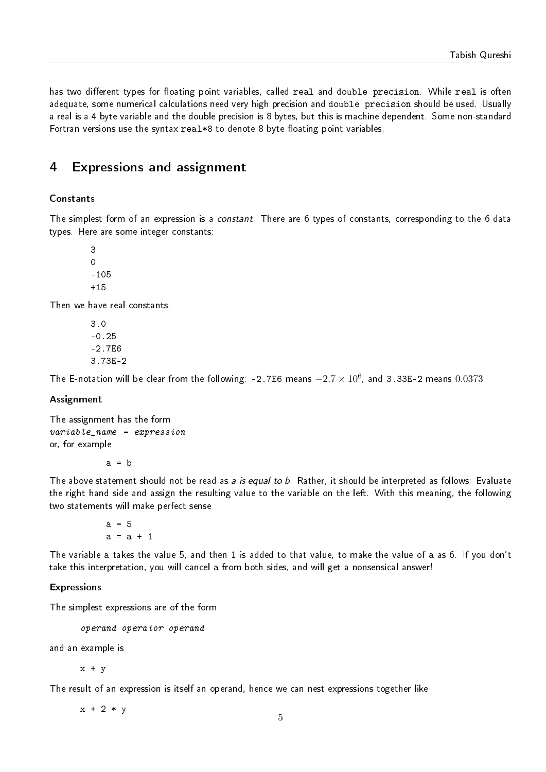has two different types for floating point variables, called real and double precision. While real is often adequate, some numerical calculations need very high precision and double precision should be used. Usually a real is a 4 byte variable and the double precision is 8 bytes, but this is machine dependent. Some non-standard Fortran versions use the syntax real\*8 to denote 8 byte floating point variables.

## <span id="page-5-0"></span>4 Expressions and assignment

## Constants

The simplest form of an expression is a *constant*. There are 6 types of constants, corresponding to the 6 data types. Here are some integer constants:

3 0 -105  $+15$ 

Then we have real constants:

3.0 -0.25 -2.7E6 3.73E-2

The E-notation will be clear from the following: -2.7E6 means  $-2.7\times10^6$ , and 3.33E-2 means  $0.0373$ .

## Assignment

The assignment has the form  $variable\_name = expression$ or, for example

 $a = b$ 

The above statement should not be read as a is equal to b. Rather, it should be interpreted as follows: Evaluate the right hand side and assign the resulting value to the variable on the left. With this meaning, the following two statements will make perfect sense

```
a = 5a = a + 1
```
The variable a takes the value 5, and then 1 is added to that value, to make the value of a as 6. If you don't take this interpretation, you will cancel a from both sides, and will get a nonsensical answer!

### Expressions

The simplest expressions are of the form

operand operator operand

and an example is

 $x + v$ 

The result of an expression is itself an operand, hence we can nest expressions together like

 $x + 2 * y$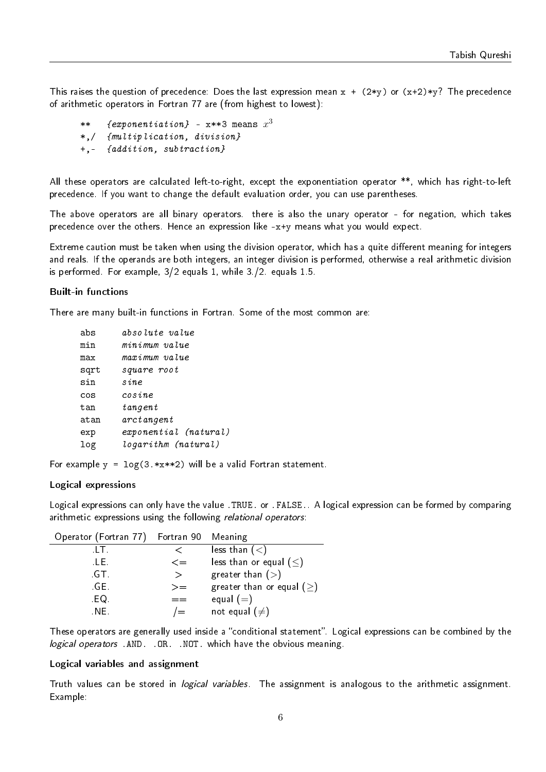This raises the question of precedence: Does the last expression mean  $x + (2*y)$  or  $(x+2)*y$ ? The precedence of arithmetic operators in Fortran 77 are (from highest to lowest):

```
** \quad {exponentiation} - x**3 means x^3*,/ {multiplication, division}
+,- {addition, subtraction}
```
All these operators are calculated left-to-right, except the exponentiation operator \*\*, which has right-to-left precedence. If you want to change the default evaluation order, you can use parentheses.

The above operators are all binary operators. there is also the unary operator - for negation, which takes precedence over the others. Hence an expression like -x+y means what you would expect.

Extreme caution must be taken when using the division operator, which has a quite different meaning for integers and reals. If the operands are both integers, an integer division is performed, otherwise a real arithmetic division is performed. For example, 3/2 equals 1, while 3./2. equals 1.5.

### Built-in functions

There are many built-in functions in Fortran. Some of the most common are:

| abs  | absolute value        |
|------|-----------------------|
| min  | minimum value         |
| max  | maximum value         |
| sqrt | square root           |
| sin  | sine                  |
| cos  | cosine                |
| tan  | $t$ angent            |
| atan | arctangent            |
| exp  | exponential (natural) |
| log  | logarithm (natural)   |

For example  $y = \log(3.*x**2)$  will be a valid Fortran statement.

### Logical expressions

Logical expressions can only have the value .TRUE. or .FALSE.. A logical expression can be formed by comparing arithmetic expressions using the following relational operators:

| Operator (Fortran 77) Fortran 90 Meaning |         |                                 |
|------------------------------------------|---------|---------------------------------|
| .LT .                                    |         | less than $(<)$                 |
| .LE.                                     | $\lt =$ | less than or equal $(\leq)$     |
| GT.                                      | $\gt$   | greater than $(>)$              |
| GE.                                      | $>=$    | greater than or equal $($ $>$ ) |
| EQ.                                      |         | equal $(=)$                     |
| NE.                                      |         | not equal $(\neq)$              |

These operators are generally used inside a "conditional statement". Logical expressions can be combined by the logical operators .AND. .OR. .NOT. which have the obvious meaning.

#### Logical variables and assignment

Truth values can be stored in *logical variables*. The assignment is analogous to the arithmetic assignment. Example: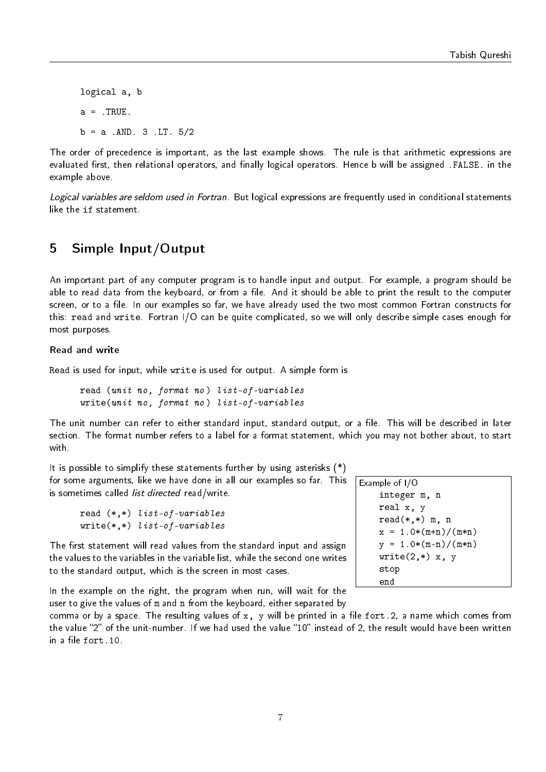logical a, b  $a = .TRUE$ .  $b = a$  . AND. 3 . LT.  $5/2$ 

The order of precedence is important, as the last example shows. The rule is that arithmetic expressions are evaluated first, then relational operators, and finally logical operators. Hence b will be assigned .FALSE. in the example above.

Logical variables are seldom used in Fortran. But logical expressions are frequently used in conditional statements like the if statement.

## <span id="page-7-0"></span>5 Simple Input/Output

An important part of any computer program is to handle input and output. For example, a program should be able to read data from the keyboard, or from a file. And it should be able to print the result to the computer screen, or to a file. In our examples so far, we have already used the two most common Fortran constructs for this: read and write. Fortran I/O can be quite complicated, so we will only describe simple cases enough for most purposes.

### Read and write

Read is used for input, while write is used for output. A simple form is

read (unit no, format no) list-of-variables write(unit no, format no) list-of-variables

The unit number can refer to either standard input, standard output, or a file. This will be described in later section. The format number refers to a label for a format statement, which you may not bother about, to start with.

It is possible to simplify these statements further by using asterisks (\*) for some arguments, like we have done in all our examples so far. This is sometimes called *list directed* read/write.

| read $(*,*)$ list-of-variables  |
|---------------------------------|
| write $(*,*)$ list-of-variables |

The first statement will read values from the standard input and assign the values to the variables in the variable list, while the second one writes to the standard output, which is the screen in most cases.

In the example on the right, the program when run, will wait for the user to give the values of m and n from the keyboard, either separated by

comma or by a space. The resulting values of  $x$ , y will be printed in a file fort.2, a name which comes from the value "2" of the unit-number. If we had used the value "10" instead of 2, the result would have been written in a file  $fort.10$ .

| Example of $1/O$      |
|-----------------------|
| integer m, n          |
| real x, y             |
| $read(*,*)$ m, n      |
| $x = 1.0*(m+n)/(m*n)$ |
| $y = 1.0*(m-n)/(m*n)$ |
| $write(2, *)$ x, y    |
| stop                  |
| end                   |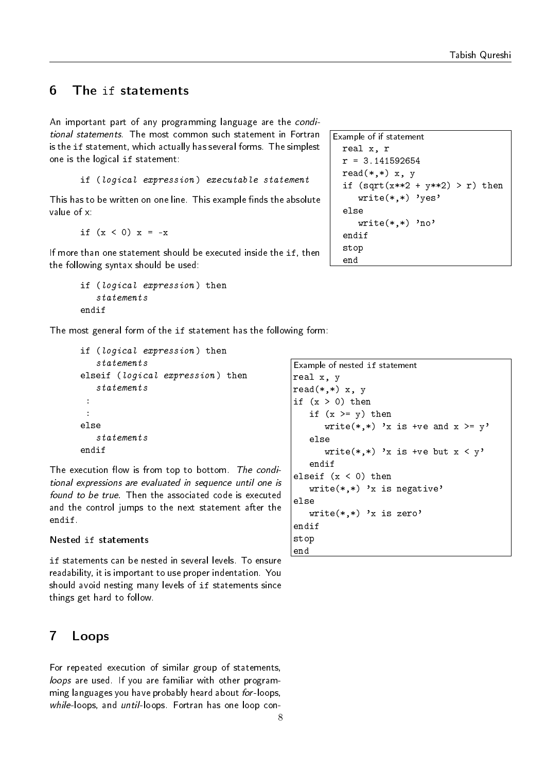## <span id="page-8-0"></span>6 The if statements

An important part of any programming language are the conditional statements. The most common such statement in Fortran is the if statement, which actually has several forms. The simplest one is the logical if statement:

if (logical expression) executable statement

This has to be written on one line. This example finds the absolute value of x:

if  $(x < 0) x = -x$ 

If more than one statement should be executed inside the if, then the following syntax should be used:

```
if (logical expression) then
   statements
endif
```
The most general form of the if statement has the following form:

```
if (logical expression) then
   statements
elseif (logical expression) then
   statements
 :
 :
else
   statements
endif
```
The execution flow is from top to bottom. The conditional expressions are evaluated in sequence until one is found to be true. Then the associated code is executed and the control jumps to the next statement after the endif.

## Nested if statements

if statements can be nested in several levels. To ensure readability, it is important to use proper indentation. You should avoid nesting many levels of if statements since things get hard to follow.

## <span id="page-8-1"></span>7 Loops

For repeated execution of similar group of statements, loops are used. If you are familiar with other programming languages you have probably heard about for-loops, while-loops, and until-loops. Fortran has one loop con-

```
Example of if statement
  real x, r
  r = 3.141592654read(*,*) x, y
  if (sqrt(x**2 + y**2) > r) then
     write(*, *) 'yes'
  else
     write(*, *) 'no'
  endif
  stop
  end
```

```
Example of nested if statement
real x, y
read(*,*) x, y
if (x > 0) then
   if (x \ge y) then
      write(*,*) 'x is +ve and x \ge y'
   else
      write(*,*) 'x is +ve but x < y'endif
elseif (x < 0) then
   write(*, *) 'x is negative'
else
   write(*, *) 'x is zero'
endif
stop
end
```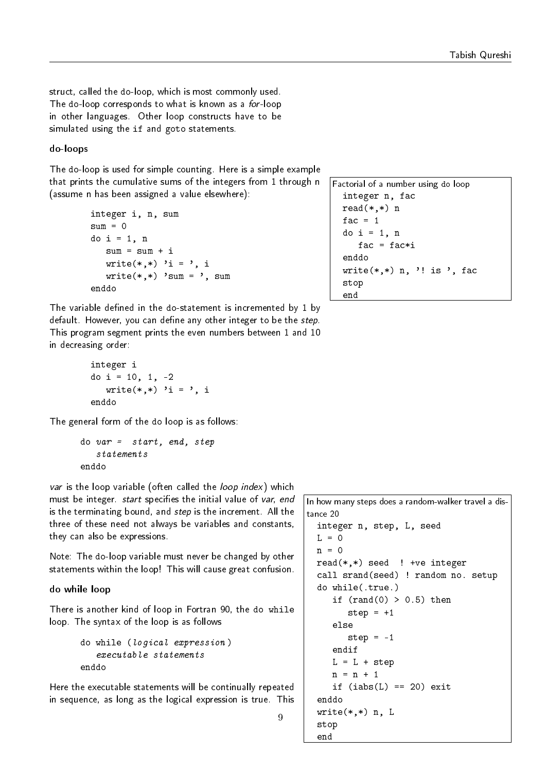struct, called the do-loop, which is most commonly used. The do-loop corresponds to what is known as a for-loop in other languages. Other loop constructs have to be simulated using the if and goto statements.

### do-loops

The do-loop is used for simple counting. Here is a simple example that prints the cumulative sums of the integers from 1 through n (assume n has been assigned a value elsewhere):

```
integer i, n, sum
sum = 0do i = 1, n
   sum = sum + iwrite(*,*) 'i = ', i
   write(*, *) 'sum = ', sum
enddo
```
The variable defined in the do-statement is incremented by 1 by default. However, you can define any other integer to be the step. This program segment prints the even numbers between 1 and 10 in decreasing order:

```
integer i
do i = 10, 1, -2write(*,*) 'i = ', i
enddo
```
The general form of the do loop is as follows:

```
do var = start, end, step
   statements
enddo
```
var is the loop variable (often called the *loop index*) which must be integer, start specifies the initial value of var, end is the terminating bound, and *step* is the increment. All the three of these need not always be variables and constants, they can also be expressions.

Note: The do-loop variable must never be changed by other statements within the loop! This will cause great confusion.

## do while loop

There is another kind of loop in Fortran 90, the do while loop. The syntax of the loop is as follows

```
do while (logical expression )
   executable statements
enddo
```
Here the executable statements will be continually repeated in sequence, as long as the logical expression is true. This

```
Factorial of a number using do loop
  integer n, fac
  read(*,*) n
  fac = 1do i = 1, n
     fac = fac * ienddo
  write(*,*) n, '! is ', fac
  stop
  end
```
In how many steps does a random-walker travel a distance 20 integer n, step, L, seed  $L = 0$  $n = 0$  $read(*,*)$  seed ! +ve integer

```
call srand(seed) ! random no. setup
do while(.true.)
   if (rand(0) > 0.5) then
      step = +1else
      step = -1endif
  L = L + stepn = n + 1if (iabs(L) == 20) exit
enddo
write(*,*) n, L
stop
end
```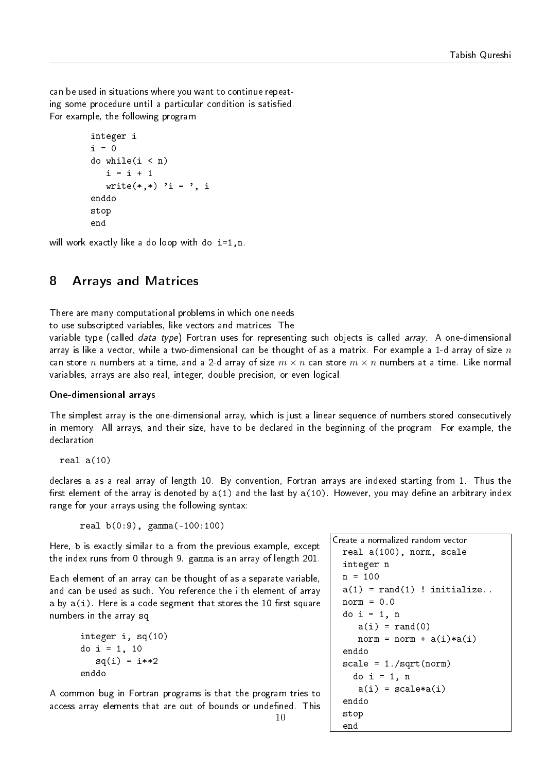can be used in situations where you want to continue repeating some procedure until a particular condition is satisfied. For example, the following program

```
integer i
i = 0do while(i < n)i = i + 1write(*,*) 'i = ', i
enddo
stop
end
```
will work exactly like a do loop with do  $i=1, n$ .

## <span id="page-10-0"></span>8 Arrays and Matrices

There are many computational problems in which one needs

to use subscripted variables, like vectors and matrices. The

variable type (called *data type*) Fortran uses for representing such objects is called *array*. A one-dimensional array is like a vector, while a two-dimensional can be thought of as a matrix. For example a 1-d array of size  $n$ can store n numbers at a time, and a 2-d array of size  $m \times n$  can store  $m \times n$  numbers at a time. Like normal variables, arrays are also real, integer, double precision, or even logical.

## One-dimensional arrays

The simplest array is the one-dimensional array, which is just a linear sequence of numbers stored consecutively in memory. All arrays, and their size, have to be declared in the beginning of the program. For example, the declaration

real a(10)

declares a as a real array of length 10. By convention, Fortran arrays are indexed starting from 1. Thus the first element of the array is denoted by  $a(1)$  and the last by  $a(10)$ . However, you may define an arbitrary index range for your arrays using the following syntax:

real b(0:9), gamma(-100:100)

Here, b is exactly similar to a from the previous example, except the index runs from 0 through 9. gamma is an array of length 201.

Each element of an array can be thought of as a separate variable, and can be used as such. You reference the i'th element of array a by  $a(i)$ . Here is a code segment that stores the 10 first square numbers in the array sq:

```
integer i, sq(10)
do i = 1, 10sq(i) = i**2enddo
```
A common bug in Fortran programs is that the program tries to access array elements that are out of bounds or undefined. This

```
Create a normalized random vector
 real a(100), norm, scale
 integer n
 n = 100a(1) = rand(1) ! initialize..
 norm = 0.0do i = 1, n
     a(i) = rand(0)norm = norm + a(i)*a(i)enddo
 scale = 1./sqrt(norm)do i = 1, n
     a(i) = scale * a(i)enddo
 stop
  end
```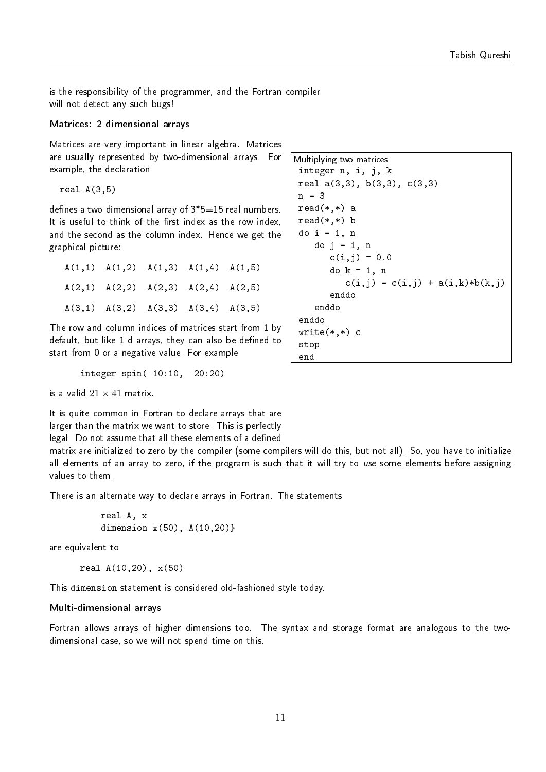is the responsibility of the programmer, and the Fortran compiler will not detect any such bugs!

#### Matrices: 2-dimensional arrays

Matrices are very important in linear algebra. Matrices are usually represented by two-dimensional arrays. For example, the declaration

real  $A(3,5)$ 

defines a two-dimensional array of  $3*5=15$  real numbers. It is useful to think of the first index as the row index, and the second as the column index. Hence we get the graphical picture:

 $A(1,1)$   $A(1,2)$   $A(1,3)$   $A(1,4)$   $A(1,5)$  $A(2,1)$   $A(2,2)$   $A(2,3)$   $A(2,4)$   $A(2,5)$  $A(3,1)$   $A(3,2)$   $A(3,3)$   $A(3,4)$   $A(3,5)$ 

The row and column indices of matrices start from 1 by default, but like 1-d arrays, they can also be defined to start from 0 or a negative value. For example

integer spin(-10:10, -20:20)

is a valid  $21 \times 41$  matrix.

It is quite common in Fortran to declare arrays that are larger than the matrix we want to store. This is perfectly legal. Do not assume that all these elements of a defined

matrix are initialized to zero by the compiler (some compilers will do this, but not all). So, you have to initialize all elements of an array to zero, if the program is such that it will try to use some elements before assigning values to them.

There is an alternate way to declare arrays in Fortran. The statements

```
real A, x
dimension x(50), A(10,20)}
```
are equivalent to

```
real A(10,20), x(50)
```
This dimension statement is considered old-fashioned style today.

#### Multi-dimensional arrays

Fortran allows arrays of higher dimensions too. The syntax and storage format are analogous to the twodimensional case, so we will not spend time on this.

```
Multiplying two matrices
 integer n, i, j, k
real a(3,3), b(3,3), c(3,3)
 n = 3
 read(*,*) a
 read(*,*) b
 do i = 1, n
    do j = 1, n
       c(i, j) = 0.0do k = 1, n
          c(i,j) = c(i,j) + a(i,k)*b(k,j)enddo
    enddo
 enddo
 write(*, *) c
 stop
 end
```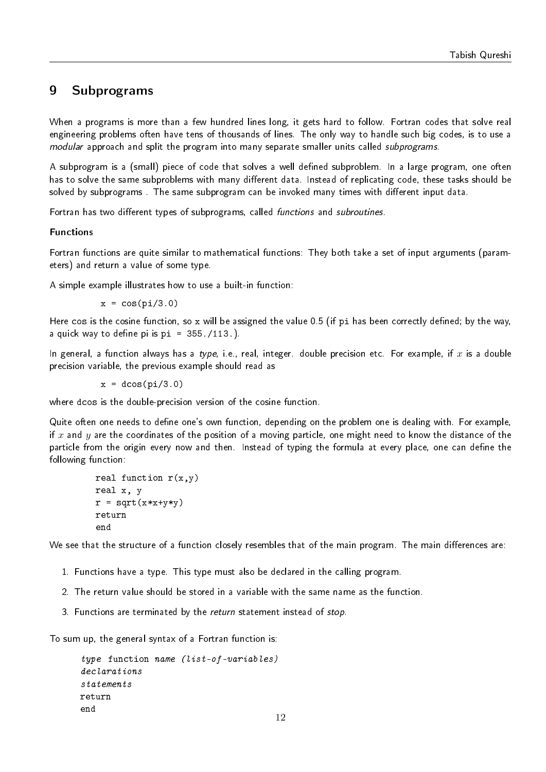## <span id="page-12-0"></span>9 Subprograms

When a programs is more than a few hundred lines long, it gets hard to follow. Fortran codes that solve real engineering problems often have tens of thousands of lines. The only way to handle such big codes, is to use a modular approach and split the program into many separate smaller units called *subprograms*.

A subprogram is a (small) piece of code that solves a well defined subproblem. In a large program, one often has to solve the same subproblems with many different data. Instead of replicating code, these tasks should be solved by subprograms. The same subprogram can be invoked many times with different input data.

Fortran has two different types of subprograms, called functions and subroutines.

## Functions

Fortran functions are quite similar to mathematical functions: They both take a set of input arguments (parameters) and return a value of some type.

A simple example illustrates how to use a built-in function:

 $x = cos(pi/3.0)$ 

Here cos is the cosine function, so x will be assigned the value 0.5 (if pi has been correctly defined; by the way, a quick way to define pi is  $pi = 355./113.$ ).

In general, a function always has a type, i.e., real, integer. double precision etc. For example, if x is a double precision variable, the previous example should read as

 $x = d \cos(p i / 3.0)$ 

where dcos is the double-precision version of the cosine function.

Quite often one needs to define one's own function, depending on the problem one is dealing with. For example, if x and y are the coordinates of the position of a moving particle, one might need to know the distance of the particle from the origin every now and then. Instead of typing the formula at every place, one can define the following function:

```
real function r(x,y)real x, y
r = sqrt(x*x+y*y)return
end
```
We see that the structure of a function closely resembles that of the main program. The main differences are:

- 1. Functions have a type. This type must also be declared in the calling program.
- 2. The return value should be stored in a variable with the same name as the function.
- 3. Functions are terminated by the return statement instead of stop.

To sum up, the general syntax of a Fortran function is:

```
type function name (list-of-variables)
declarations
statements
return
end
```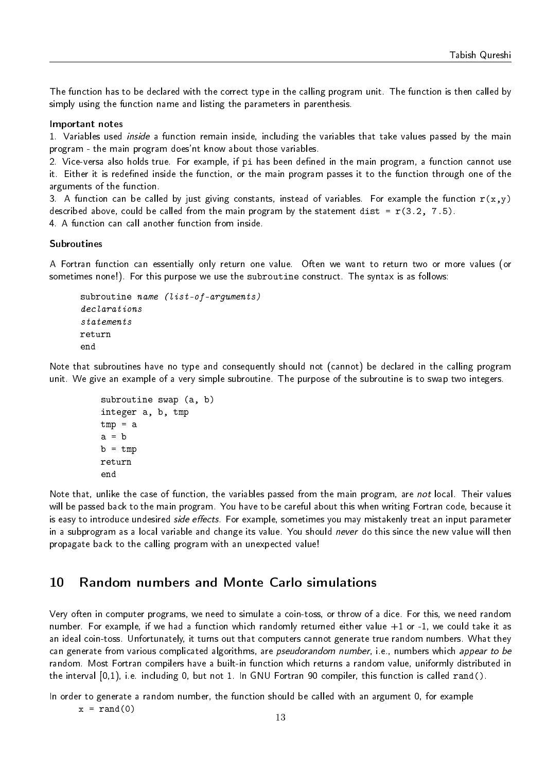The function has to be declared with the correct type in the calling program unit. The function is then called by simply using the function name and listing the parameters in parenthesis.

#### Important notes

1. Variables used inside a function remain inside, including the variables that take values passed by the main program - the main program does'nt know about those variables.

2. Vice-versa also holds true. For example, if pi has been defined in the main program, a function cannot use it. Either it is redefined inside the function, or the main program passes it to the function through one of the arguments of the function.

3. A function can be called by just giving constants, instead of variables. For example the function  $r(x,y)$ described above, could be called from the main program by the statement dist =  $r(3.2, 7.5)$ .

4. A function can call another function from inside.

#### Subroutines

A Fortran function can essentially only return one value. Often we want to return two or more values (or sometimes none!). For this purpose we use the subroutine construct. The syntax is as follows:

```
subroutine name (list-of-arguments)
declarations
statements
return
end
```
Note that subroutines have no type and consequently should not (cannot) be declared in the calling program unit. We give an example of a very simple subroutine. The purpose of the subroutine is to swap two integers.

```
subroutine swap (a, b)
integer a, b, tmp
tmp = aa = bb = tmpreturn
end
```
Note that, unlike the case of function, the variables passed from the main program, are not local. Their values will be passed back to the main program. You have to be careful about this when writing Fortran code, because it is easy to introduce undesired *side effects*. For example, sometimes you may mistakenly treat an input parameter in a subprogram as a local variable and change its value. You should never do this since the new value will then propagate back to the calling program with an unexpected value!

## <span id="page-13-0"></span>10 Random numbers and Monte Carlo simulations

Very often in computer programs, we need to simulate a coin-toss, or throw of a dice. For this, we need random number. For example, if we had a function which randomly returned either value +1 or -1, we could take it as an ideal coin-toss. Unfortunately, it turns out that computers cannot generate true random numbers. What they can generate from various complicated algorithms, are *pseudorandom number*, i.e., numbers which appear to be random. Most Fortran compilers have a built-in function which returns a random value, uniformly distributed in the interval [0,1), i.e. including 0, but not 1. In GNU Fortran 90 compiler, this function is called rand().

In order to generate a random number, the function should be called with an argument 0, for example

 $x = \text{rand}(0)$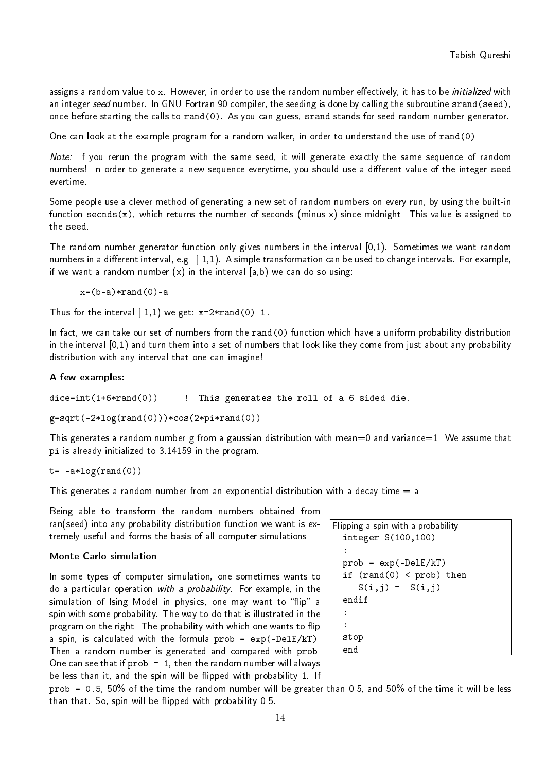assigns a random value to x. However, in order to use the random number effectively, it has to be *initialized* with an integer seed number. In GNU Fortran 90 compiler, the seeding is done by calling the subroutine srand(seed), once before starting the calls to rand(0). As you can guess, srand stands for seed random number generator.

One can look at the example program for a random-walker, in order to understand the use of rand(0).

Note: If you rerun the program with the same seed, it will generate exactly the same sequence of random numbers! In order to generate a new sequence everytime, you should use a different value of the integer seed evertime.

Some people use a clever method of generating a new set of random numbers on every run, by using the built-in function secnds(x), which returns the number of seconds (minus x) since midnight. This value is assigned to the seed.

The random number generator function only gives numbers in the interval [0,1). Sometimes we want random numbers in a different interval, e.g.  $[-1,1)$ . A simple transformation can be used to change intervals. For example, if we want a random number  $(x)$  in the interval  $[a,b)$  we can do so using:

 $x=(b-a)*rand(0)-a$ 

Thus for the interval  $[-1,1)$  we get:  $x=2*rand(0)-1$ .

In fact, we can take our set of numbers from the rand(0) function which have a uniform probability distribution in the interval [0,1) and turn them into a set of numbers that look like they come from just about any probability distribution with any interval that one can imagine!

#### A few examples:

```
dice=int(1+6*rand(0)) \qquad ! This generates the roll of a 6 sided die.
```
 $g=sqrt(-2*log(rand(0))) *cos(2*pi*rand(0))$ 

This generates a random number g from a gaussian distribution with mean=0 and variance=1. We assume that pi is already initialized to 3.14159 in the program.

 $t = -a * log(rand(0))$ 

This generates a random number from an exponential distribution with a decay time  $= a$ .

Being able to transform the random numbers obtained from ran(seed) into any probability distribution function we want is extremely useful and forms the basis of all computer simulations.

### Monte-Carlo simulation

In some types of computer simulation, one sometimes wants to do a particular operation with a probability. For example, in the simulation of Ising Model in physics, one may want to "flip" a spin with some probability. The way to do that is illustrated in the program on the right. The probability with which one wants to flip a spin, is calculated with the formula  $prob = exp(-De\,E/kT)$ . Then a random number is generated and compared with prob. One can see that if  $prob = 1$ , then the random number will always be less than it, and the spin will be flipped with probability 1. If

Flipping a spin with a probability integer S(100,100) : prob = exp(-DelE/kT) if (rand(0) < prob) then S(i,j) = -S(i,j) endif : : stop end

prob = 0.5, 50% of the time the random number will be greater than 0.5, and 50% of the time it will be less than that. So, spin will be flipped with probability  $0.5$ .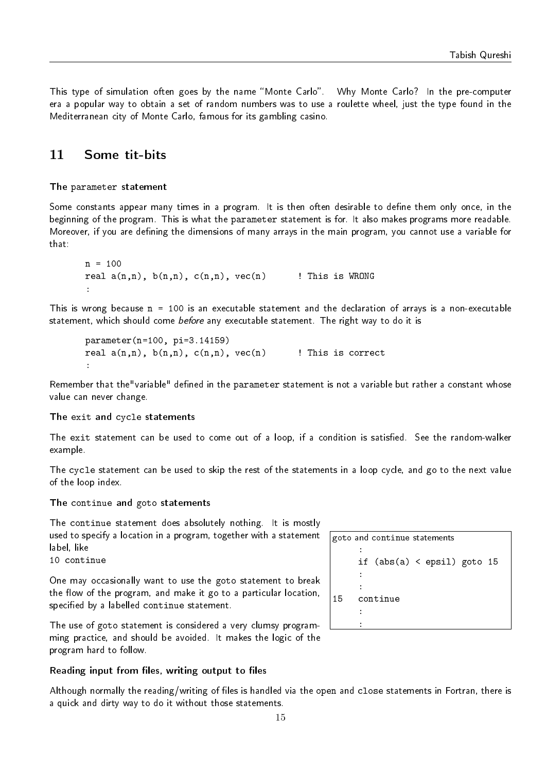This type of simulation often goes by the name "Monte Carlo". Why Monte Carlo? In the pre-computer era a popular way to obtain a set of random numbers was to use a roulette wheel, just the type found in the Mediterranean city of Monte Carlo, famous for its gambling casino.

## <span id="page-15-0"></span>11 Some tit-bits

## The parameter statement

Some constants appear many times in a program. It is then often desirable to define them only once, in the beginning of the program. This is what the parameter statement is for. It also makes programs more readable. Moreover, if you are defining the dimensions of many arrays in the main program, you cannot use a variable for that:

```
n = 100real a(n,n), b(n,n), c(n,n), vec(n) ! This is WRONG
:
```
This is wrong because n = 100 is an executable statement and the declaration of arrays is a non-executable statement, which should come before any executable statement. The right way to do it is

```
parameter(n=100, pi=3.14159)
real a(n,n), b(n,n), c(n,n), vec(n) ! This is correct
:
```
Remember that the "variable" defined in the parameter statement is not a variable but rather a constant whose value can never change.

## The exit and cycle statements

The exit statement can be used to come out of a loop, if a condition is satisfied. See the random-walker example.

The cycle statement can be used to skip the rest of the statements in a loop cycle, and go to the next value of the loop index.

The continue and goto statements

The continue statement does absolutely nothing. It is mostly used to specify a location in a program, together with a statement label, like

10 continue

One may occasionally want to use the goto statement to break the flow of the program, and make it go to a particular location, specified by a labelled continue statement.

The use of goto statement is considered a very clumsy programming practice, and should be avoided. It makes the logic of the program hard to follow.

## Reading input from files, writing output to files

Although normally the reading/writing of files is handled via the open and close statements in Fortran, there is a quick and dirty way to do it without those statements.